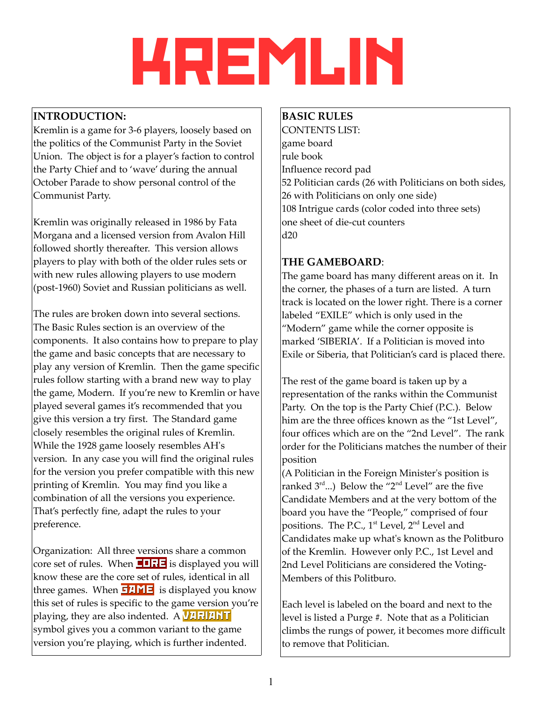# krEMLIN

# **INTRODUCTION:**

Kremlin is a game for 3-6 players, loosely based on the politics of the Communist Party in the Soviet Union. The object is for a player's faction to control the Party Chief and to 'wave' during the annual October Parade to show personal control of the Communist Party.

Kremlin was originally released in 1986 by Fata Morgana and a licensed version from Avalon Hill followed shortly thereafter. This version allows players to play with both of the older rules sets or with new rules allowing players to use modern (post-1960) Soviet and Russian politicians as well.

The rules are broken down into several sections. The Basic Rules section is an overview of the components. It also contains how to prepare to play the game and basic concepts that are necessary to play any version of Kremlin. Then the game specific rules follow starting with a brand new way to play the game, Modern. If you're new to Kremlin or have played several games it's recommended that you give this version a try first. The Standard game closely resembles the original rules of Kremlin. While the 1928 game loosely resembles AH's version. In any case you will find the original rules for the version you prefer compatible with this new printing of Kremlin. You may find you like a combination of all the versions you experience. That's perfectly fine, adapt the rules to your preference.

Organization: All three versions share a common core set of rules. When  $\Box$ RE is displayed you will know these are the core set of rules, identical in all three games. When  $\overline{GAME}$  is displayed you know this set of rules is specific to the game version you're playing, they are also indented.  $\bf{A}$  **VARIANT** symbol gives you a common variant to the game version you're playing, which is further indented.

# **BASIC RULES**

CONTENTS LIST: game board rule book Influence record pad 52 Politician cards (26 with Politicians on both sides, 26 with Politicians on only one side) 108 Intrigue cards (color coded into three sets) one sheet of die-cut counters d20

# **THE GAMEBOARD**:

The game board has many different areas on it. In the corner, the phases of a turn are listed. A turn track is located on the lower right. There is a corner labeled "EXILE" which is only used in the "Modern" game while the corner opposite is marked 'SIBERIA'. If a Politician is moved into Exile or Siberia, that Politician's card is placed there.

The rest of the game board is taken up by a representation of the ranks within the Communist Party. On the top is the Party Chief (P.C.). Below him are the three offices known as the "1st Level", four offices which are on the "2nd Level". The rank order for the Politicians matches the number of their position

(A Politician in the Foreign Minister's position is ranked  $3^{\text{rd}}$ ...) Below the "2<sup>nd</sup> Level" are the five Candidate Members and at the very bottom of the board you have the "People," comprised of four positions. The P.C., 1<sup>st</sup> Level, 2<sup>nd</sup> Level and Candidates make up what's known as the Politburo of the Kremlin. However only P.C., 1st Level and 2nd Level Politicians are considered the Voting-Members of this Politburo.

Each level is labeled on the board and next to the level is listed a Purge #. Note that as a Politician climbs the rungs of power, it becomes more difficult to remove that Politician.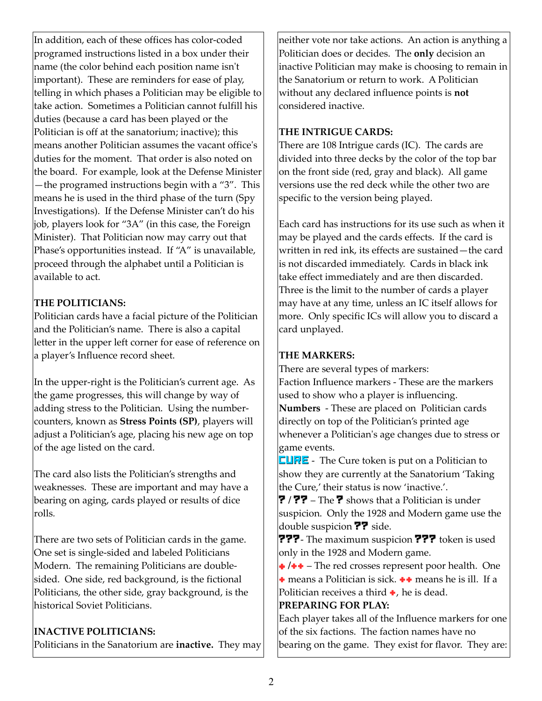In addition, each of these offices has color-coded programed instructions listed in a box under their name (the color behind each position name isn't important). These are reminders for ease of play, telling in which phases a Politician may be eligible to take action. Sometimes a Politician cannot fulfill his duties (because a card has been played or the Politician is off at the sanatorium; inactive); this means another Politician assumes the vacant office's duties for the moment. That order is also noted on the board. For example, look at the Defense Minister —the programed instructions begin with a "3". This means he is used in the third phase of the turn (Spy Investigations). If the Defense Minister can't do his job, players look for "3A" (in this case, the Foreign Minister). That Politician now may carry out that Phase's opportunities instead. If "A" is unavailable, proceed through the alphabet until a Politician is available to act.

#### **THE POLITICIANS:**

Politician cards have a facial picture of the Politician and the Politician's name. There is also a capital letter in the upper left corner for ease of reference on a player's Influence record sheet.

In the upper-right is the Politician's current age. As the game progresses, this will change by way of adding stress to the Politician. Using the numbercounters, known as **Stress Points (SP)**, players will adjust a Politician's age, placing his new age on top of the age listed on the card.

The card also lists the Politician's strengths and weaknesses. These are important and may have a bearing on aging, cards played or results of dice rolls*.*

There are two sets of Politician cards in the game. One set is single-sided and labeled Politicians Modern. The remaining Politicians are doublesided. One side, red background, is the fictional Politicians, the other side, gray background, is the historical Soviet Politicians.

#### **INACTIVE POLITICIANS:**

Politicians in the Sanatorium are **inactive.** They may

neither vote nor take actions. An action is anything a Politician does or decides. The **only** decision an inactive Politician may make is choosing to remain in the Sanatorium or return to work. A Politician without any declared influence points is **not** considered inactive.

#### **THE INTRIGUE CARDS:**

There are 108 Intrigue cards (IC). The cards are divided into three decks by the color of the top bar on the front side (red, gray and black). All game versions use the red deck while the other two are specific to the version being played.

Each card has instructions for its use such as when it may be played and the cards effects. If the card is written in red ink, its effects are sustained—the card is not discarded immediately. Cards in black ink take effect immediately and are then discarded. Three is the limit to the number of cards a player may have at any time, unless an IC itself allows for more. Only specific ICs will allow you to discard a card unplayed.

# **THE MARKERS:**

There are several types of markers: Faction Influence markers - These are the markers

used to show who a player is influencing. **Numbers** - These are placed on Politician cards directly on top of the Politician's printed age whenever a Politician's age changes due to stress or game events.

**CURE** - The Cure token is put on a Politician to show they are currently at the Sanatorium 'Taking the Cure,' their status is now 'inactive.'.

? **/** ?? – The ? shows that a Politician is under suspicion. Only the 1928 and Modern game use the double suspicion **??** side.

???- The maximum suspicion ??? token is used only in the 1928 and Modern game.

 **→ / + +** – The red crosses represent poor health. One

 $\rightarrow$  means a Politician is sick.  $\rightarrow \rightarrow$  means he is ill. If a Politician receives a third  $\bullet$ , he is dead.

# **PREPARING FOR PLAY:**

Each player takes all of the Influence markers for one of the six factions. The faction names have no bearing on the game. They exist for flavor. They are: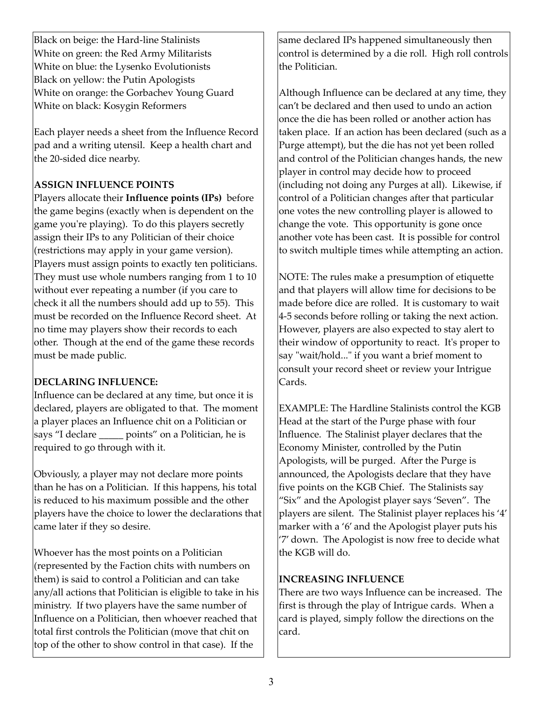Black on beige: the Hard-line Stalinists White on green: the Red Army Militarists White on blue: the Lysenko Evolutionists Black on yellow: the Putin Apologists White on orange: the Gorbachev Young Guard White on black: Kosygin Reformers

Each player needs a sheet from the Influence Record pad and a writing utensil. Keep a health chart and the 20-sided dice nearby.

# **ASSIGN INFLUENCE POINTS**

Players allocate their **Influence points (IPs)** before the game begins (exactly when is dependent on the game you're playing). To do this players secretly assign their IPs to any Politician of their choice (restrictions may apply in your game version). Players must assign points to exactly ten politicians. They must use whole numbers ranging from 1 to 10 without ever repeating a number (if you care to check it all the numbers should add up to 55). This must be recorded on the Influence Record sheet. At no time may players show their records to each other. Though at the end of the game these records must be made public.

# **DECLARING INFLUENCE:**

Influence can be declared at any time, but once it is declared, players are obligated to that. The moment a player places an Influence chit on a Politician or says "I declare points" on a Politician, he is required to go through with it.

Obviously, a player may not declare more points than he has on a Politician. If this happens, his total is reduced to his maximum possible and the other players have the choice to lower the declarations that came later if they so desire.

Whoever has the most points on a Politician (represented by the Faction chits with numbers on them) is said to control a Politician and can take any/all actions that Politician is eligible to take in his ministry. If two players have the same number of Influence on a Politician, then whoever reached that total first controls the Politician (move that chit on top of the other to show control in that case). If the

same declared IPs happened simultaneously then control is determined by a die roll. High roll controls the Politician.

Although Influence can be declared at any time, they can't be declared and then used to undo an action once the die has been rolled or another action has taken place. If an action has been declared (such as a Purge attempt), but the die has not yet been rolled and control of the Politician changes hands, the new player in control may decide how to proceed (including not doing any Purges at all). Likewise, if control of a Politician changes after that particular one votes the new controlling player is allowed to change the vote. This opportunity is gone once another vote has been cast. It is possible for control to switch multiple times while attempting an action.

NOTE: The rules make a presumption of etiquette and that players will allow time for decisions to be made before dice are rolled. It is customary to wait 4-5 seconds before rolling or taking the next action. However, players are also expected to stay alert to their window of opportunity to react. It's proper to say "wait/hold..." if you want a brief moment to consult your record sheet or review your Intrigue Cards.

EXAMPLE: The Hardline Stalinists control the KGB Head at the start of the Purge phase with four Influence. The Stalinist player declares that the Economy Minister, controlled by the Putin Apologists, will be purged. After the Purge is announced, the Apologists declare that they have five points on the KGB Chief. The Stalinists say "Six" and the Apologist player says 'Seven". The players are silent. The Stalinist player replaces his '4' marker with a '6' and the Apologist player puts his '7' down. The Apologist is now free to decide what the KGB will do.

# **INCREASING INFLUENCE**

There are two ways Influence can be increased. The first is through the play of Intrigue cards. When a card is played, simply follow the directions on the card.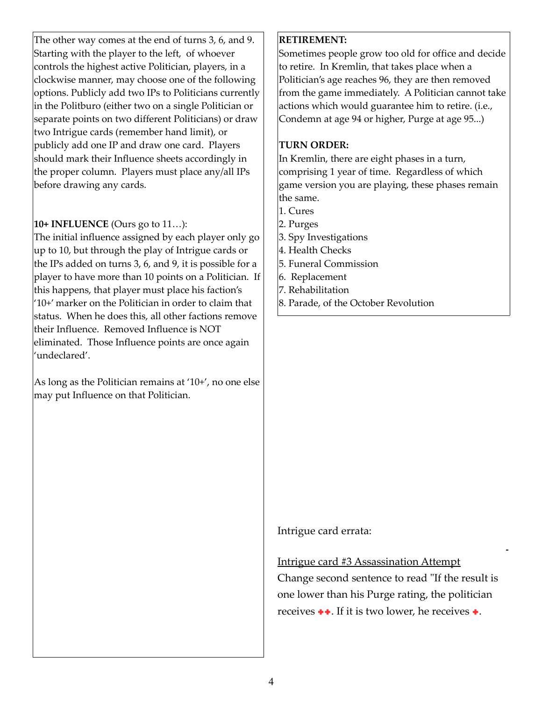The other way comes at the end of turns 3, 6, and 9. Starting with the player to the left, of whoever controls the highest active Politician, players, in a clockwise manner, may choose one of the following options. Publicly add two IPs to Politicians currently in the Politburo (either two on a single Politician or separate points on two different Politicians) or draw two Intrigue cards (remember hand limit), or publicly add one IP and draw one card. Players should mark their Influence sheets accordingly in the proper column. Players must place any/all IPs before drawing any cards.

#### **10+ INFLUENCE** (Ours go to 11…):

The initial influence assigned by each player only go up to 10, but through the play of Intrigue cards or the IPs added on turns 3, 6, and 9, it is possible for a player to have more than 10 points on a Politician. If this happens, that player must place his faction's '10+' marker on the Politician in order to claim that status. When he does this, all other factions remove their Influence. Removed Influence is NOT eliminated. Those Influence points are once again 'undeclared'.

As long as the Politician remains at '10+', no one else may put Influence on that Politician.

#### **RETIREMENT:**

Sometimes people grow too old for office and decide to retire. In Kremlin, that takes place when a Politician's age reaches 96, they are then removed from the game immediately. A Politician cannot take actions which would guarantee him to retire. (i.e., Condemn at age 94 or higher, Purge at age 95...)

#### **TURN ORDER:**

In Kremlin, there are eight phases in a turn, comprising 1 year of time. Regardless of which game version you are playing, these phases remain the same.

- 1. Cures
- 2. Purges
- 3. Spy Investigations
- 4. Health Checks
- 5. Funeral Commission
- 6. Replacement
- 7. Rehabilitation
- 8. Parade, of the October Revolution

# Intrigue card errata:

#### Intrigue card #3 Assassination Attempt

Change second sentence to read "If the result is one lower than his Purge rating, the politician receives  $\bullet\bullet$ . If it is two lower, he receives  $\bullet$ .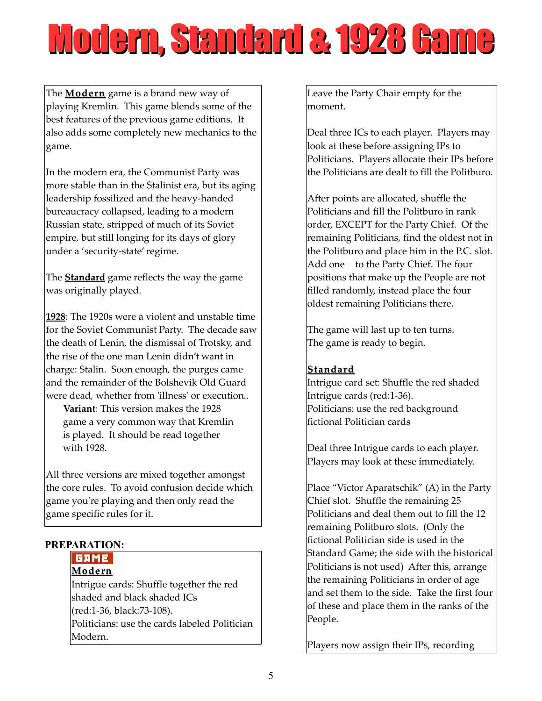# Modern, Standard & 1928 Game

The **Modern** game is a brand new way of playing Kremlin. This game blends some of the best features of the previous game editions. It also adds some completely new mechanics to the game.

In the modern era, the Communist Party was more stable than in the Stalinist era, but its aging leadership fossilized and the heavy-handed bureaucracy collapsed, leading to a modern Russian state, stripped of much of its Soviet empire, but still longing for its days of glory under a 'security-state' regime.

The **Standard** game reflects the way the game was originally played.

**1928**: The 1920s were a violent and unstable time for the Soviet Communist Party. The decade saw the death of Lenin, the dismissal of Trotsky, and the rise of the one man Lenin didn't want in charge: Stalin. Soon enough, the purges came and the remainder of the Bolshevik Old Guard were dead, whether from 'illness' or execution..

 **Variant**: This version makes the 1928 game a very common way that Kremlin is played. It should be read together with 1928.

All three versions are mixed together amongst the core rules. To avoid confusion decide which game you're playing and then only read the game specific rules for it.

# **PREPARATION:**

# **GAME**

**Modern** Intrigue cards: Shuffle together the red shaded and black shaded ICs (red:1-36, black:73-108). Politicians: use the cards labeled Politician Modern.

Leave the Party Chair empty for the moment.

Deal three ICs to each player. Players may look at these before assigning IPs to Politicians. Players allocate their IPs before the Politicians are dealt to fill the Politburo.

After points are allocated, shuffle the Politicians and fill the Politburo in rank order, EXCEPT for the Party Chief. Of the remaining Politicians, find the oldest not in the Politburo and place him in the P.C. slot. Add one to the Party Chief. The four positions that make up the People are not filled randomly, instead place the four oldest remaining Politicians there.

The game will last up to ten turns. The game is ready to begin.

# **Standard**

Intrigue card set: Shuffle the red shaded Intrigue cards (red:1-36). Politicians: use the red background fictional Politician cards

Deal three Intrigue cards to each player. Players may look at these immediately.

Place "Victor Aparatschik" (A) in the Party Chief slot. Shuffle the remaining 25 Politicians and deal them out to fill the 12 remaining Politburo slots. (Only the fictional Politician side is used in the Standard Game; the side with the historical Politicians is not used) After this, arrange the remaining Politicians in order of age and set them to the side. Take the first four of these and place them in the ranks of the People.

Players now assign their IPs, recording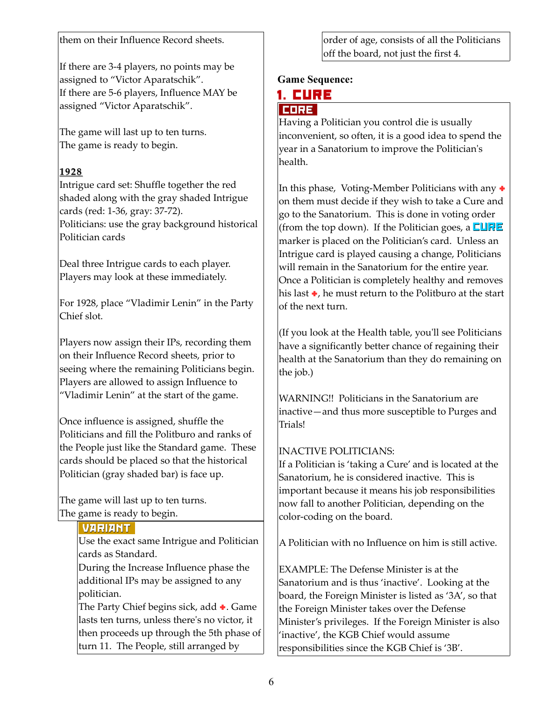them on their Influence Record sheets.

If there are 3-4 players, no points may be assigned to "Victor Aparatschik". If there are 5-6 players, Influence MAY be assigned "Victor Aparatschik".

The game will last up to ten turns. The game is ready to begin.

# **1928**

Intrigue card set: Shuffle together the red shaded along with the gray shaded Intrigue cards (red: 1-36, gray: 37-72).

Politicians: use the gray background historical Politician cards

Deal three Intrigue cards to each player. Players may look at these immediately.

For 1928, place "Vladimir Lenin" in the Party Chief slot.

Players now assign their IPs, recording them on their Influence Record sheets, prior to seeing where the remaining Politicians begin. Players are allowed to assign Influence to "Vladimir Lenin" at the start of the game.

Once influence is assigned, shuffle the Politicians and fill the Politburo and ranks of the People just like the Standard game. These cards should be placed so that the historical Politician (gray shaded bar) is face up.

The game will last up to ten turns. The game is ready to begin.

#### VARIANT

Use the exact same Intrigue and Politician cards as Standard.

During the Increase Influence phase the additional IPs may be assigned to any politician.

The Party Chief begins sick, add  $\bullet$ . Game lasts ten turns, unless there's no victor, it then proceeds up through the 5th phase of turn 11. The People, still arranged by

order of age, consists of all the Politicians off the board, not just the first 4.

# **Game Sequence:**

#### 1. CURE

#### CORE

Having a Politician you control die is usually inconvenient, so often, it is a good idea to spend the year in a Sanatorium to improve the Politician's health.

In this phase, Voting-Member Politicians with any  $\bullet$ on them must decide if they wish to take a Cure and go to the Sanatorium. This is done in voting order (from the top down). If the Politician goes, a  $\Box \Box \Box \Box$ marker is placed on the Politician's card. Unless an Intrigue card is played causing a change, Politicians will remain in the Sanatorium for the entire year. Once a Politician is completely healthy and removes his last  $\bullet$ , he must return to the Politburo at the start of the next turn.

(If you look at the Health table, you'll see Politicians have a significantly better chance of regaining their health at the Sanatorium than they do remaining on the job.)

WARNING!! Politicians in the Sanatorium are inactive—and thus more susceptible to Purges and Trials!

# INACTIVE POLITICIANS:

If a Politician is 'taking a Cure' and is located at the Sanatorium, he is considered inactive. This is important because it means his job responsibilities now fall to another Politician, depending on the color-coding on the board.

A Politician with no Influence on him is still active.

EXAMPLE: The Defense Minister is at the Sanatorium and is thus 'inactive'. Looking at the board, the Foreign Minister is listed as '3A', so that the Foreign Minister takes over the Defense Minister's privileges. If the Foreign Minister is also 'inactive', the KGB Chief would assume responsibilities since the KGB Chief is '3B'.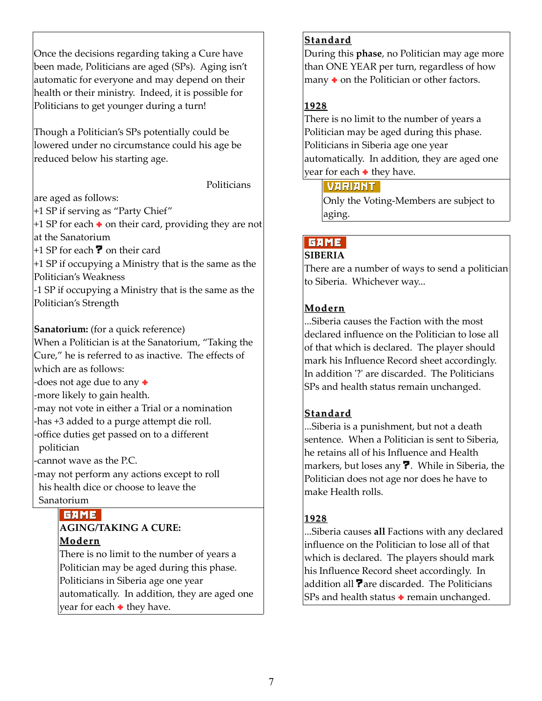Once the decisions regarding taking a Cure have been made, Politicians are aged (SPs). Aging isn't automatic for everyone and may depend on their health or their ministry. Indeed, it is possible for Politicians to get younger during a turn!

Though a Politician's SPs potentially could be lowered under no circumstance could his age be reduced below his starting age.

are aged as follows:

+1 SP if serving as "Party Chief"

 $+1$  SP for each  $\bullet$  on their card, providing they are not at the Sanatorium

Politicians

 $+1$  SP for each  $\overline{?}$  on their card

+1 SP if occupying a Ministry that is the same as the Politician's Weakness

-1 SP if occupying a Ministry that is the same as the Politician's Strength

**Sanatorium:** (for a quick reference)

When a Politician is at the Sanatorium, "Taking the Cure," he is referred to as inactive. The effects of which are as follows:

-does not age due to any  $\bullet$ 

-more likely to gain health.

-may not vote in either a Trial or a nomination -has +3 added to a purge attempt die roll.

-office duties get passed on to a different

politician

-cannot wave as the P.C.

-may not perform any actions except to roll his health dice or choose to leave the Sanatorium

#### **GAME AGING/TAKING A CURE: Modern**

There is no limit to the number of years a Politician may be aged during this phase. Politicians in Siberia age one year automatically. In addition, they are aged one year for each  $\bullet$  they have.

#### **Standard**

During this **phase**, no Politician may age more than ONE YEAR per turn, regardless of how many  $\bullet$  on the Politician or other factors.

# **1928**

There is no limit to the number of years a Politician may be aged during this phase. Politicians in Siberia age one year automatically. In addition, they are aged one year for each  $\bullet$  they have.

# VARIANT

Only the Voting-Members are subject to aging.

# **GAME**

#### **SIBERIA**

There are a number of ways to send a politician to Siberia. Whichever way...

#### **Modern**

...Siberia causes the Faction with the most declared influence on the Politician to lose all of that which is declared. The player should mark his Influence Record sheet accordingly. In addition '?' are discarded. The Politicians SPs and health status remain unchanged.

# **Standard**

...Siberia is a punishment, but not a death sentence. When a Politician is sent to Siberia, he retains all of his Influence and Health markers, but loses any **?**. While in Siberia, the Politician does not age nor does he have to make Health rolls.

# **1928**

...Siberia causes **all** Factions with any declared influence on the Politician to lose all of that which is declared. The players should mark his Influence Record sheet accordingly. In addition all **?** are discarded. The Politicians SPs and health status  $\bullet$  remain unchanged.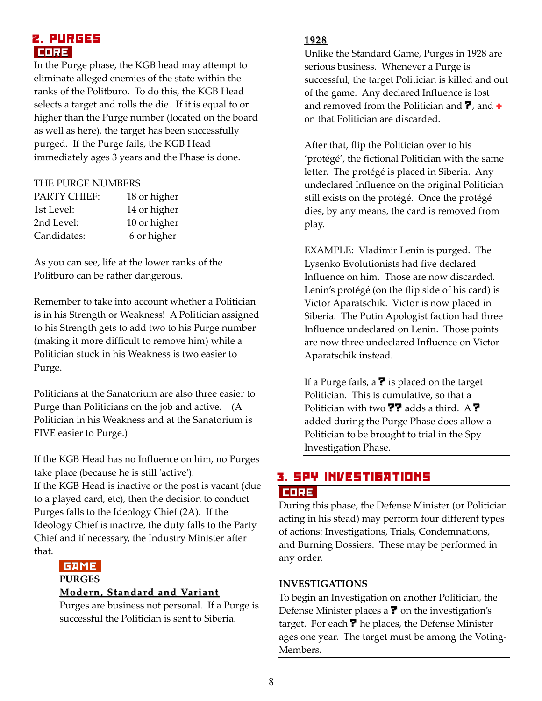#### 2. PURGES CORE

In the Purge phase, the KGB head may attempt to eliminate alleged enemies of the state within the ranks of the Politburo. To do this, the KGB Head selects a target and rolls the die. If it is equal to or higher than the Purge number (located on the board as well as here), the target has been successfully purged. If the Purge fails, the KGB Head immediately ages 3 years and the Phase is done.

#### THE PURGE NUMBERS

| <b>PARTY CHIEF:</b> | 18 or higher |
|---------------------|--------------|
| 1st Level:          | 14 or higher |
| 2nd Level:          | 10 or higher |
| Candidates:         | 6 or higher  |

As you can see, life at the lower ranks of the Politburo can be rather dangerous.

Remember to take into account whether a Politician is in his Strength or Weakness! A Politician assigned to his Strength gets to add two to his Purge number (making it more difficult to remove him) while a Politician stuck in his Weakness is two easier to Purge.

Politicians at the Sanatorium are also three easier to Purge than Politicians on the job and active. (A Politician in his Weakness and at the Sanatorium is FIVE easier to Purge.)

If the KGB Head has no Influence on him, no Purges take place (because he is still 'active').

If the KGB Head is inactive or the post is vacant (due to a played card, etc), then the decision to conduct Purges falls to the Ideology Chief (2A). If the Ideology Chief is inactive, the duty falls to the Party Chief and if necessary, the Industry Minister after that.

#### **GAME PURGES**

# **Modern, Standard and Variant**

Purges are business not personal. If a Purge is successful the Politician is sent to Siberia.

#### **1928**

Unlike the Standard Game, Purges in 1928 are serious business. Whenever a Purge is successful, the target Politician is killed and out of the game. Any declared Influence is lost and removed from the Politician and  $\overline{?}$ , and  $\overline{+}$ on that Politician are discarded.

After that, flip the Politician over to his 'protégé', the fictional Politician with the same letter. The protégé is placed in Siberia. Any undeclared Influence on the original Politician still exists on the protégé. Once the protégé dies, by any means, the card is removed from play.

EXAMPLE: Vladimir Lenin is purged. The Lysenko Evolutionists had five declared Influence on him. Those are now discarded. Lenin's protégé (on the flip side of his card) is Victor Aparatschik. Victor is now placed in Siberia. The Putin Apologist faction had three Influence undeclared on Lenin. Those points are now three undeclared Influence on Victor Aparatschik instead.

If a Purge fails, a  $\overline{?}$  is placed on the target Politician. This is cumulative, so that a Politician with two  $\overline{P}$  adds a third. A ? added during the Purge Phase does allow a Politician to be brought to trial in the Spy Investigation Phase.

# 3. SPY INVESTIGATIONS

# CORE

During this phase, the Defense Minister (or Politician acting in his stead) may perform four different types of actions: Investigations, Trials, Condemnations, and Burning Dossiers. These may be performed in any order.

# **INVESTIGATIONS**

To begin an Investigation on another Politician, the Defense Minister places a  $\overline{?}$  on the investigation's target. For each  $\overline{\mathbf{?}}$  he places, the Defense Minister ages one year. The target must be among the Voting-Members.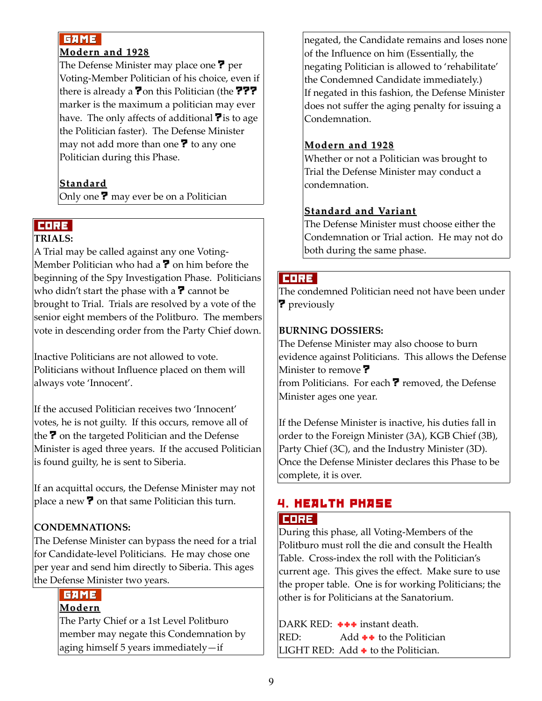# **GAME**

#### **Modern and 1928**

The Defense Minister may place one ? per Voting-Member Politician of his choice, even if there is already a **?** on this Politician (the **???** marker is the maximum a politician may ever have. The only affects of additional  $\overline{\mathbf{?}}$  is to age the Politician faster). The Defense Minister may not add more than one  $\overline{\mathbf{?}}$  to any one Politician during this Phase.

# **Standard**

Only one ? may ever be on a Politician

# CORE

# **TRIALS:**

A Trial may be called against any one Voting-Member Politician who had a  $\overline{?}$  on him before the beginning of the Spy Investigation Phase. Politicians who didn't start the phase with a  $\overline{?}$  cannot be brought to Trial. Trials are resolved by a vote of the senior eight members of the Politburo. The members vote in descending order from the Party Chief down.

Inactive Politicians are not allowed to vote. Politicians without Influence placed on them will always vote 'Innocent'.

If the accused Politician receives two 'Innocent' votes, he is not guilty. If this occurs, remove all of the  $\overline{?}$  on the targeted Politician and the Defense Minister is aged three years. If the accused Politician is found guilty, he is sent to Siberia.

If an acquittal occurs, the Defense Minister may not place a new  $\overline{?}$  on that same Politician this turn.

# **CONDEMNATIONS:**

The Defense Minister can bypass the need for a trial for Candidate-level Politicians. He may chose one per year and send him directly to Siberia. This ages the Defense Minister two years.

# GAME

# **Modern**

The Party Chief or a 1st Level Politburo member may negate this Condemnation by aging himself 5 years immediately—if

negated, the Candidate remains and loses none of the Influence on him (Essentially, the negating Politician is allowed to 'rehabilitate' the Condemned Candidate immediately.) If negated in this fashion, the Defense Minister does not suffer the aging penalty for issuing a Condemnation.

# **Modern and 1928**

Whether or not a Politician was brought to Trial the Defense Minister may conduct a condemnation.

# **Standard and Variant**

The Defense Minister must choose either the Condemnation or Trial action. He may not do both during the same phase.

# CORE

The condemned Politician need not have been under ? previously

# **BURNING DOSSIERS:**

The Defense Minister may also choose to burn evidence against Politicians. This allows the Defense Minister to remove ? from Politicians. For each ? removed, the Defense Minister ages one year.

If the Defense Minister is inactive, his duties fall in order to the Foreign Minister (3A), KGB Chief (3B), Party Chief (3C), and the Industry Minister (3D). Once the Defense Minister declares this Phase to be complete, it is over.

# 4. HEALTH PHASE CORE

During this phase, all Voting-Members of the Politburo must roll the die and consult the Health Table. Cross-index the roll with the Politician's current age. This gives the effect. Make sure to use the proper table. One is for working Politicians; the other is for Politicians at the Sanatorium.

DARK RED:  $++$  instant death. RED:  $\qquad \qquad \text{Add} \leftrightarrow \text{to the Politician}$ LIGHT RED: Add  $\div$  to the Politician.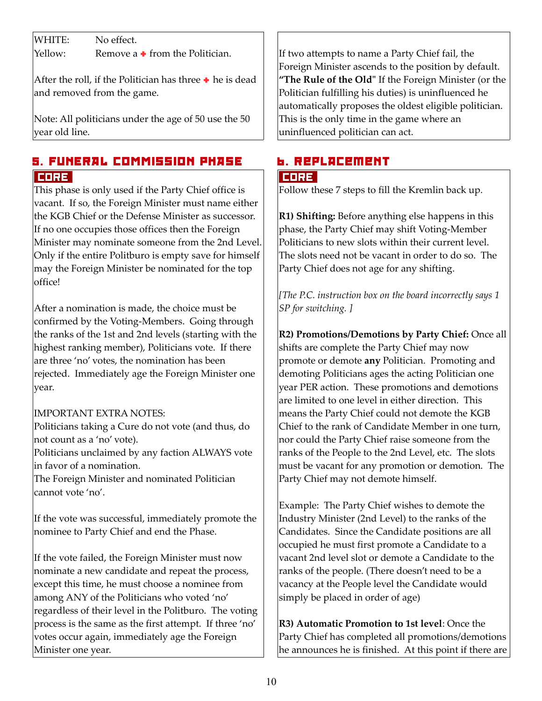WHITE: No effect.

Yellow: Remove a  $\bullet$  from the Politician.

After the roll, if the Politician has three  $\bullet$  he is dead and removed from the game.

Note: All politicians under the age of 50 use the 50 year old line.

# 5. FUNERAL COMMISSION PHASE CORE

This phase is only used if the Party Chief office is vacant. If so, the Foreign Minister must name either the KGB Chief or the Defense Minister as successor. If no one occupies those offices then the Foreign Minister may nominate someone from the 2nd Level. Only if the entire Politburo is empty save for himself may the Foreign Minister be nominated for the top office!

After a nomination is made, the choice must be confirmed by the Voting-Members. Going through the ranks of the 1st and 2nd levels (starting with the highest ranking member), Politicians vote. If there are three 'no' votes, the nomination has been rejected. Immediately age the Foreign Minister one year.

# IMPORTANT EXTRA NOTES:

Politicians taking a Cure do not vote (and thus, do not count as a 'no' vote).

Politicians unclaimed by any faction ALWAYS vote in favor of a nomination.

The Foreign Minister and nominated Politician cannot vote 'no'.

If the vote was successful, immediately promote the nominee to Party Chief and end the Phase.

If the vote failed, the Foreign Minister must now nominate a new candidate and repeat the process, except this time, he must choose a nominee from among ANY of the Politicians who voted 'no' regardless of their level in the Politburo. The voting process is the same as the first attempt. If three 'no' votes occur again, immediately age the Foreign Minister one year.

If two attempts to name a Party Chief fail, the Foreign Minister ascends to the position by default. **"The Rule of the Old"** If the Foreign Minister (or the Politician fulfilling his duties) is uninfluenced he automatically proposes the oldest eligible politician. This is the only time in the game where an uninfluenced politician can act.

# 6. Replacement

#### CORE

Follow these 7 steps to fill the Kremlin back up.

**R1) Shifting:** Before anything else happens in this phase, the Party Chief may shift Voting-Member Politicians to new slots within their current level. The slots need not be vacant in order to do so. The Party Chief does not age for any shifting.

*[The P.C. instruction box on the board incorrectly says 1 SP for switching. ]*

**R2) Promotions/Demotions by Party Chief:** Once all shifts are complete the Party Chief may now promote or demote **any** Politician. Promoting and demoting Politicians ages the acting Politician one year PER action. These promotions and demotions are limited to one level in either direction. This means the Party Chief could not demote the KGB Chief to the rank of Candidate Member in one turn, nor could the Party Chief raise someone from the ranks of the People to the 2nd Level, etc. The slots must be vacant for any promotion or demotion. The Party Chief may not demote himself.

Example: The Party Chief wishes to demote the Industry Minister (2nd Level) to the ranks of the Candidates. Since the Candidate positions are all occupied he must first promote a Candidate to a vacant 2nd level slot or demote a Candidate to the ranks of the people. (There doesn't need to be a vacancy at the People level the Candidate would simply be placed in order of age)

**R3) Automatic Promotion to 1st level**: Once the Party Chief has completed all promotions/demotions he announces he is finished. At this point if there are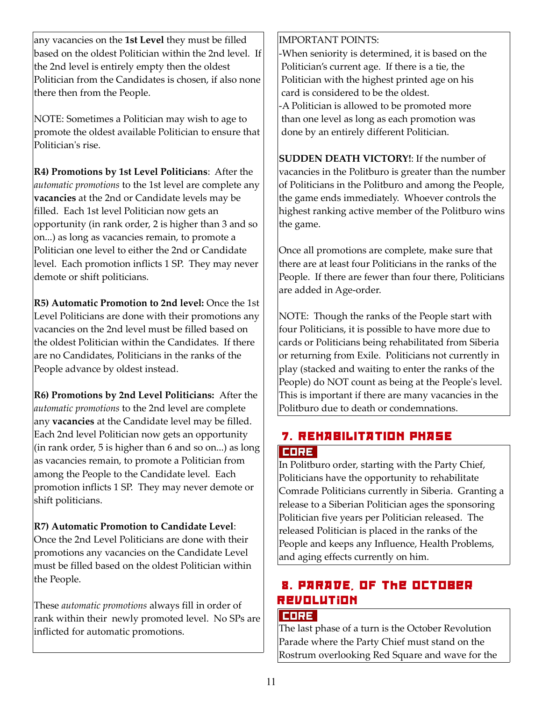any vacancies on the **1st Level** they must be filled based on the oldest Politician within the 2nd level. If the 2nd level is entirely empty then the oldest Politician from the Candidates is chosen, if also none there then from the People.

NOTE: Sometimes a Politician may wish to age to promote the oldest available Politician to ensure that Politician's rise.

**R4) Promotions by 1st Level Politicians**: After the *automatic promotions* to the 1st level are complete any **vacancies** at the 2nd or Candidate levels may be filled. Each 1st level Politician now gets an opportunity (in rank order, 2 is higher than 3 and so on...) as long as vacancies remain, to promote a Politician one level to either the 2nd or Candidate level. Each promotion inflicts 1 SP. They may never demote or shift politicians.

**R5) Automatic Promotion to 2nd level:** Once the 1st Level Politicians are done with their promotions any vacancies on the 2nd level must be filled based on the oldest Politician within the Candidates. If there are no Candidates, Politicians in the ranks of the People advance by oldest instead.

**R6) Promotions by 2nd Level Politicians:** After the *automatic promotions* to the 2nd level are complete any **vacancies** at the Candidate level may be filled. Each 2nd level Politician now gets an opportunity (in rank order, 5 is higher than 6 and so on...) as long as vacancies remain, to promote a Politician from among the People to the Candidate level. Each promotion inflicts 1 SP. They may never demote or shift politicians.

**R7) Automatic Promotion to Candidate Level**: Once the 2nd Level Politicians are done with their promotions any vacancies on the Candidate Level must be filled based on the oldest Politician within the People.

These *automatic promotions* always fill in order of rank within their newly promoted level. No SPs are inflicted for automatic promotions.

IMPORTANT POINTS:

-When seniority is determined, it is based on the Politician's current age. If there is a tie, the Politician with the highest printed age on his card is considered to be the oldest. -A Politician is allowed to be promoted more than one level as long as each promotion was done by an entirely different Politician.

**SUDDEN DEATH VICTORY!**: If the number of vacancies in the Politburo is greater than the number of Politicians in the Politburo and among the People, the game ends immediately. Whoever controls the highest ranking active member of the Politburo wins the game.

Once all promotions are complete, make sure that there are at least four Politicians in the ranks of the People. If there are fewer than four there, Politicians are added in Age-order.

NOTE: Though the ranks of the People start with four Politicians, it is possible to have more due to cards or Politicians being rehabilitated from Siberia or returning from Exile. Politicians not currently in play (stacked and waiting to enter the ranks of the People) do NOT count as being at the People's level. This is important if there are many vacancies in the Politburo due to death or condemnations.

# 7. REHABILITATION PHASE CORE

In Politburo order, starting with the Party Chief, Politicians have the opportunity to rehabilitate Comrade Politicians currently in Siberia. Granting a release to a Siberian Politician ages the sponsoring Politician five years per Politician released. The released Politician is placed in the ranks of the People and keeps any Influence, Health Problems, and aging effects currently on him.

# 8. PARADE, Of The October Revolution

#### CORE

The last phase of a turn is the October Revolution Parade where the Party Chief must stand on the Rostrum overlooking Red Square and wave for the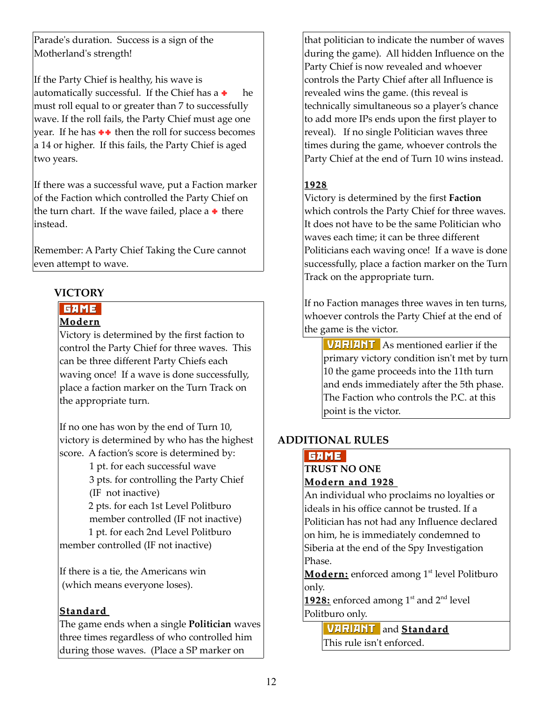Parade's duration. Success is a sign of the Motherland's strength!

If the Party Chief is healthy, his wave is automatically successful. If the Chief has  $a + h$  he must roll equal to or greater than 7 to successfully wave. If the roll fails, the Party Chief must age one year. If he has  $\rightarrow \rightarrow$  then the roll for success becomes a 14 or higher. If this fails, the Party Chief is aged two years.

If there was a successful wave, put a Faction marker of the Faction which controlled the Party Chief on the turn chart. If the wave failed, place a  $\bullet$  there instead.

Remember: A Party Chief Taking the Cure cannot even attempt to wave.

#### **VICTORY**

#### **GAME**

#### **Modern**

Victory is determined by the first faction to control the Party Chief for three waves. This can be three different Party Chiefs each waving once! If a wave is done successfully, place a faction marker on the Turn Track on the appropriate turn.

If no one has won by the end of Turn 10, victory is determined by who has the highest score. A faction's score is determined by:

> 1 pt. for each successful wave 3 pts. for controlling the Party Chief (IF not inactive)

 2 pts. for each 1st Level Politburo member controlled (IF not inactive)

 1 pt. for each 2nd Level Politburo member controlled (IF not inactive)

If there is a tie, the Americans win (which means everyone loses).

# **Standard**

The game ends when a single **Politician** waves three times regardless of who controlled him during those waves. (Place a SP marker on

that politician to indicate the number of waves during the game). All hidden Influence on the Party Chief is now revealed and whoever controls the Party Chief after all Influence is revealed wins the game. (this reveal is technically simultaneous so a player's chance to add more IPs ends upon the first player to reveal). If no single Politician waves three times during the game, whoever controls the Party Chief at the end of Turn 10 wins instead.

# **1928**

Victory is determined by the first **Faction** which controls the Party Chief for three waves. It does not have to be the same Politician who waves each time; it can be three different Politicians each waving once! If a wave is done successfully, place a faction marker on the Turn Track on the appropriate turn.

If no Faction manages three waves in ten turns, whoever controls the Party Chief at the end of the game is the victor.

 VARIANT As mentioned earlier if the primary victory condition isn't met by turn 10 the game proceeds into the 11th turn and ends immediately after the 5th phase. The Faction who controls the P.C. at this point is the victor.

# **ADDITIONAL RULES**

# **GAME**

#### **TRUST NO ONE Modern and 1928**

An individual who proclaims no loyalties or ideals in his office cannot be trusted. If a Politician has not had any Influence declared on him, he is immediately condemned to Siberia at the end of the Spy Investigation Phase.

**Modern:** enforced among 1<sup>st</sup> level Politburo only.

**1928:** enforced among  $1^{st}$  and  $2^{nd}$  level Politburo only.

> VARIANT and **Standard** This rule isn't enforced.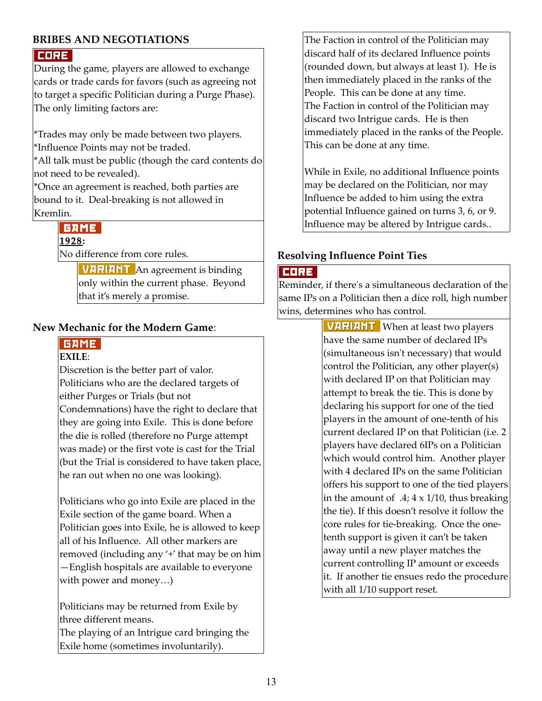# **BRIBES AND NEGOTIATIONS**

#### CORE

During the game, players are allowed to exchange cards or trade cards for favors (such as agreeing not to target a specific Politician during a Purge Phase). The only limiting factors are:

\*Trades may only be made between two players. \*Influence Points may not be traded.

\*All talk must be public (though the card contents do not need to be revealed).

\*Once an agreement is reached, both parties are bound to it. Deal-breaking is not allowed in Kremlin.

# GAME

**1928 :**

No difference from core rules.

 VARIANT An agreement is binding only within the current phase. Beyond that it's merely a promise.

#### **New Mechanic for the Modern Game**:

# **GAME**

#### **EXILE**:

Discretion is the better part of valor. Politicians who are the declared targets of either Purges or Trials (but not Condemnations) have the right to declare that they are going into Exile. This is done before the die is rolled (therefore no Purge attempt was made) or the first vote is cast for the Trial (but the Trial is considered to have taken place, he ran out when no one was looking).

Politicians who go into Exile are placed in the Exile section of the game board. When a Politician goes into Exile, he is allowed to keep all of his Influence. All other markers are removed (including any '+' that may be on him —English hospitals are available to everyone with power and money…)

Politicians may be returned from Exile by three different means.

The playing of an Intrigue card bringing the Exile home (sometimes involuntarily).

The Faction in control of the Politician may discard half of its declared Influence points (rounded down, but always at least 1). He is then immediately placed in the ranks of the People. This can be done at any time. The Faction in control of the Politician may discard two Intrigue cards. He is then immediately placed in the ranks of the People. This can be done at any time.

While in Exile, no additional Influence points may be declared on the Politician, nor may Influence be added to him using the extra potential Influence gained on turns 3, 6, or 9. Influence may be altered by Intrigue cards..

#### **Resolving Influence Point Ties**

#### CORE

Reminder, if there's a simultaneous declaration of the same IPs on a Politician then a dice roll, high number wins, determines who has control.

> **VARIANT** When at least two players have the same number of declared IPs (simultaneous isn't necessary) that would control the Politician, any other player(s) with declared IP on that Politician may attempt to break the tie. This is done by declaring his support for one of the tied players in the amount of one-tenth of his current declared IP on that Politician (i.e. 2 players have declared 6IPs on a Politician which would control him. Another player with 4 declared IPs on the same Politician offers his support to one of the tied players in the amount of  $.4$ ;  $4 \times 1/10$ , thus breaking the tie). If this doesn't resolve it follow the core rules for tie-breaking. Once the onetenth support is given it can't be taken away until a new player matches the current controlling IP amount or exceeds it. If another tie ensues redo the procedure with all 1/10 support reset.